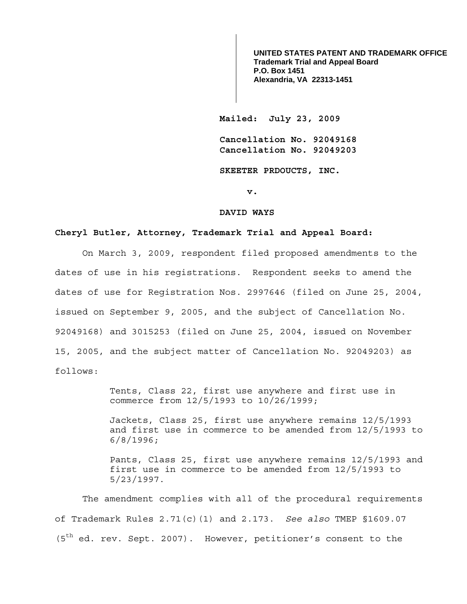**UNITED STATES PATENT AND TRADEMARK OFFICE Trademark Trial and Appeal Board P.O. Box 1451 Alexandria, VA 22313-1451**

**Mailed: July 23, 2009** 

**Cancellation No. 92049168 Cancellation No. 92049203** 

**SKEETER PRDOUCTS, INC.** 

**v.** 

### **DAVID WAYS**

# **Cheryl Butler, Attorney, Trademark Trial and Appeal Board:**

On March 3, 2009, respondent filed proposed amendments to the dates of use in his registrations. Respondent seeks to amend the dates of use for Registration Nos. 2997646 (filed on June 25, 2004, issued on September 9, 2005, and the subject of Cancellation No. 92049168) and 3015253 (filed on June 25, 2004, issued on November 15, 2005, and the subject matter of Cancellation No. 92049203) as follows:

> Tents, Class 22, first use anywhere and first use in commerce from 12/5/1993 to 10/26/1999;

Jackets, Class 25, first use anywhere remains 12/5/1993 and first use in commerce to be amended from 12/5/1993 to 6/8/1996;

Pants, Class 25, first use anywhere remains 12/5/1993 and first use in commerce to be amended from 12/5/1993 to 5/23/1997.

 The amendment complies with all of the procedural requirements of Trademark Rules 2.71(c)(1) and 2.173. *See also* TMEP §1609.07 (5<sup>th</sup> ed. rev. Sept. 2007). However, petitioner's consent to the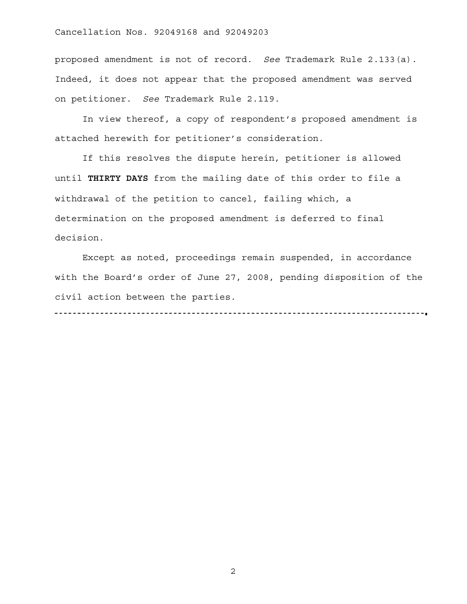# Cancellation Nos. 92049168 and 92049203

proposed amendment is not of record. *See* Trademark Rule 2.133(a). Indeed, it does not appear that the proposed amendment was served on petitioner. *See* Trademark Rule 2.119.

 In view thereof, a copy of respondent's proposed amendment is attached herewith for petitioner's consideration.

 If this resolves the dispute herein, petitioner is allowed until **THIRTY DAYS** from the mailing date of this order to file a withdrawal of the petition to cancel, failing which, a determination on the proposed amendment is deferred to final decision.

 Except as noted, proceedings remain suspended, in accordance with the Board's order of June 27, 2008, pending disposition of the civil action between the parties. 

2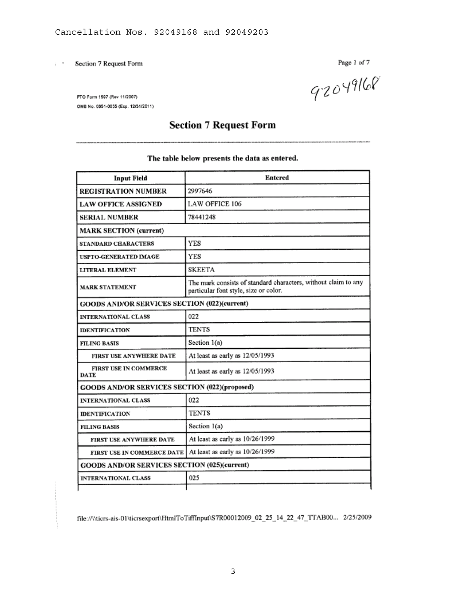Section 7 Request Form  $\ddot{\phantom{0}}$ 

Page 1 of 7<br>92049160

PTO Form 1597 (Rev 11/2007) OMB No. 0651-0055 (Exp. 12/31/2011)

# **Section 7 Request Form**

## The table below presents the data as entered.

| <b>Input Field</b>                            | <b>Entered</b>                                                                                          |  |  |  |  |
|-----------------------------------------------|---------------------------------------------------------------------------------------------------------|--|--|--|--|
| <b>REGISTRATION NUMBER</b>                    | 2997646                                                                                                 |  |  |  |  |
| <b>LAW OFFICE ASSIGNED</b>                    | <b>LAW OFFICE 106</b>                                                                                   |  |  |  |  |
| <b>SERIAL NUMBER</b>                          | 78441248                                                                                                |  |  |  |  |
| <b>MARK SECTION (current)</b>                 |                                                                                                         |  |  |  |  |
| <b>STANDARD CHARACTERS</b>                    | <b>YES</b>                                                                                              |  |  |  |  |
| <b>USPTO-GENERATED IMAGE</b>                  | <b>YES</b>                                                                                              |  |  |  |  |
| LITERAL ELEMENT                               | <b>SKEETA</b>                                                                                           |  |  |  |  |
| <b>MARK STATEMENT</b>                         | The mark consists of standard characters, without claim to any<br>particular font style, size or color. |  |  |  |  |
| GOODS AND/OR SERVICES SECTION (022)(current)  |                                                                                                         |  |  |  |  |
| <b>INTERNATIONAL CLASS</b>                    | 022                                                                                                     |  |  |  |  |
| <b>IDENTIFICATION</b>                         | <b>TENTS</b>                                                                                            |  |  |  |  |
| <b>FILING BASIS</b>                           | Section 1(a)                                                                                            |  |  |  |  |
| FIRST USE ANYWHERE DATE                       | At least as early as 12/05/1993                                                                         |  |  |  |  |
| FIRST USE IN COMMERCE<br><b>DATE</b>          | At least as early as 12/05/1993                                                                         |  |  |  |  |
| GOODS AND/OR SERVICES SECTION (022)(proposed) |                                                                                                         |  |  |  |  |
| <b>INTERNATIONAL CLASS</b>                    | 022                                                                                                     |  |  |  |  |
| <b>IDENTIFICATION</b>                         | <b>TENTS</b>                                                                                            |  |  |  |  |
| <b>FILING BASIS</b>                           | Section 1(a)                                                                                            |  |  |  |  |
| FIRST USE ANYWHERE DATE                       | At least as early as 10/26/1999                                                                         |  |  |  |  |
| FIRST USE IN COMMERCE DATE                    | At least as early as 10/26/1999                                                                         |  |  |  |  |
| GOODS AND/OR SERVICES SECTION (025)(current)  |                                                                                                         |  |  |  |  |
| <b>INTERNATIONAL CLASS</b>                    | 025                                                                                                     |  |  |  |  |
|                                               |                                                                                                         |  |  |  |  |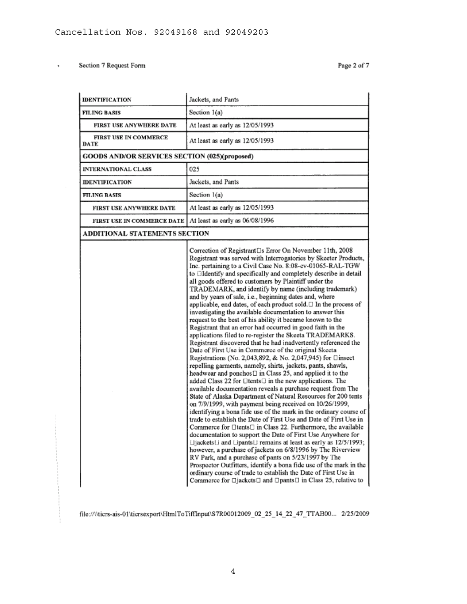$\cdot$ 

| <b>IDENTIFICATION</b>                         | Jackets, and Pants                                                                                                                                                                                                                                                                                                                                                                                                                                                                                                                                                                                                                                                                                                                                                                                                                                                                                                                                                                                                                                                                                                                                                                                                                                                                                                                                                                                                                                                                                                                                                                                                                                                                                                                                                                                                                                                                                                                                                                                                                 |  |  |  |  |
|-----------------------------------------------|------------------------------------------------------------------------------------------------------------------------------------------------------------------------------------------------------------------------------------------------------------------------------------------------------------------------------------------------------------------------------------------------------------------------------------------------------------------------------------------------------------------------------------------------------------------------------------------------------------------------------------------------------------------------------------------------------------------------------------------------------------------------------------------------------------------------------------------------------------------------------------------------------------------------------------------------------------------------------------------------------------------------------------------------------------------------------------------------------------------------------------------------------------------------------------------------------------------------------------------------------------------------------------------------------------------------------------------------------------------------------------------------------------------------------------------------------------------------------------------------------------------------------------------------------------------------------------------------------------------------------------------------------------------------------------------------------------------------------------------------------------------------------------------------------------------------------------------------------------------------------------------------------------------------------------------------------------------------------------------------------------------------------------|--|--|--|--|
| FILING BASIS                                  | Section 1(a)                                                                                                                                                                                                                                                                                                                                                                                                                                                                                                                                                                                                                                                                                                                                                                                                                                                                                                                                                                                                                                                                                                                                                                                                                                                                                                                                                                                                                                                                                                                                                                                                                                                                                                                                                                                                                                                                                                                                                                                                                       |  |  |  |  |
| FIRST USE ANYWHERE DATE                       | At least as early as 12/05/1993                                                                                                                                                                                                                                                                                                                                                                                                                                                                                                                                                                                                                                                                                                                                                                                                                                                                                                                                                                                                                                                                                                                                                                                                                                                                                                                                                                                                                                                                                                                                                                                                                                                                                                                                                                                                                                                                                                                                                                                                    |  |  |  |  |
| <b>FIRST USE IN COMMERCE</b><br><b>DATE</b>   | At least as early as 12/05/1993                                                                                                                                                                                                                                                                                                                                                                                                                                                                                                                                                                                                                                                                                                                                                                                                                                                                                                                                                                                                                                                                                                                                                                                                                                                                                                                                                                                                                                                                                                                                                                                                                                                                                                                                                                                                                                                                                                                                                                                                    |  |  |  |  |
| GOODS AND/OR SERVICES SECTION (025)(proposed) |                                                                                                                                                                                                                                                                                                                                                                                                                                                                                                                                                                                                                                                                                                                                                                                                                                                                                                                                                                                                                                                                                                                                                                                                                                                                                                                                                                                                                                                                                                                                                                                                                                                                                                                                                                                                                                                                                                                                                                                                                                    |  |  |  |  |
| <b>INTERNATIONAL CLASS</b>                    | 025                                                                                                                                                                                                                                                                                                                                                                                                                                                                                                                                                                                                                                                                                                                                                                                                                                                                                                                                                                                                                                                                                                                                                                                                                                                                                                                                                                                                                                                                                                                                                                                                                                                                                                                                                                                                                                                                                                                                                                                                                                |  |  |  |  |
| <b>IDENTIFICATION</b>                         | Jackets, and Pants                                                                                                                                                                                                                                                                                                                                                                                                                                                                                                                                                                                                                                                                                                                                                                                                                                                                                                                                                                                                                                                                                                                                                                                                                                                                                                                                                                                                                                                                                                                                                                                                                                                                                                                                                                                                                                                                                                                                                                                                                 |  |  |  |  |
| <b>FILING BASIS</b>                           | Section 1(a)                                                                                                                                                                                                                                                                                                                                                                                                                                                                                                                                                                                                                                                                                                                                                                                                                                                                                                                                                                                                                                                                                                                                                                                                                                                                                                                                                                                                                                                                                                                                                                                                                                                                                                                                                                                                                                                                                                                                                                                                                       |  |  |  |  |
| FIRST USE ANYWHERE DATE                       | At least as early as 12/05/1993                                                                                                                                                                                                                                                                                                                                                                                                                                                                                                                                                                                                                                                                                                                                                                                                                                                                                                                                                                                                                                                                                                                                                                                                                                                                                                                                                                                                                                                                                                                                                                                                                                                                                                                                                                                                                                                                                                                                                                                                    |  |  |  |  |
| FIRST USE IN COMMERCE DATE                    | At least as early as 06/08/1996                                                                                                                                                                                                                                                                                                                                                                                                                                                                                                                                                                                                                                                                                                                                                                                                                                                                                                                                                                                                                                                                                                                                                                                                                                                                                                                                                                                                                                                                                                                                                                                                                                                                                                                                                                                                                                                                                                                                                                                                    |  |  |  |  |
| <b>ADDITIONAL STATEMENTS SECTION</b>          |                                                                                                                                                                                                                                                                                                                                                                                                                                                                                                                                                                                                                                                                                                                                                                                                                                                                                                                                                                                                                                                                                                                                                                                                                                                                                                                                                                                                                                                                                                                                                                                                                                                                                                                                                                                                                                                                                                                                                                                                                                    |  |  |  |  |
|                                               | Correction of Registrant□s Error On November 11th, 2008<br>Registrant was served with Interrogatories by Skeeter Products,<br>Inc. pertaining to a Civil Case No. 8:08-cv-01065-RAL-TGW<br>to <b>Eldentify</b> and specifically and completely describe in detail<br>all goods offered to customers by Plaintiff under the<br>TRADEMARK, and identify by name (including trademark)<br>and by years of sale, i.e., beginning dates and, where<br>applicable, end dates, of each product sold.□ In the process of<br>investigating the available documentation to answer this<br>request to the best of his ability it became known to the<br>Registrant that an error had occurred in good faith in the<br>applications filed to re-register the Skeeta TRADEMARKS.<br>Registrant discovered that he had inadvertently referenced the<br>Date of First Use in Commerce of the original Skeeta<br>Registrations (No. 2,043,892, & No. 2,047,945) for □insect<br>repelling garments, namely, shirts, jackets, pants, shawls,<br>headwear and ponchos [] in Class 25, and applied it to the<br>added Class 22 for $\Box$ tents $\Box$ in the new applications. The<br>available documentation reveals a purchase request from The<br>State of Alaska Department of Natural Resources for 200 tents<br>on 7/9/1999, with payment being received on 10/26/1999,<br>identifying a bona fide use of the mark in the ordinary course of<br>trade to establish the Date of First Use and Date of First Use in<br>Commerce for □tents□ in Class 22. Furthermore, the available<br>documentation to support the Date of First Use Anywhere for<br>⊔jackets∪ and ⊔pants⊔ remains at least as early as 12/5/1993;<br>however, a purchase of jackets on 6/8/1996 by The Riverview<br>RV Park, and a purchase of pants on 5/23/1997 by The<br>Prospector Outfitters, identify a bona fide use of the mark in the<br>ordinary course of trade to establish the Date of First Use in<br>Commerce for □jackets□ and □pants□ in Class 25, relative to |  |  |  |  |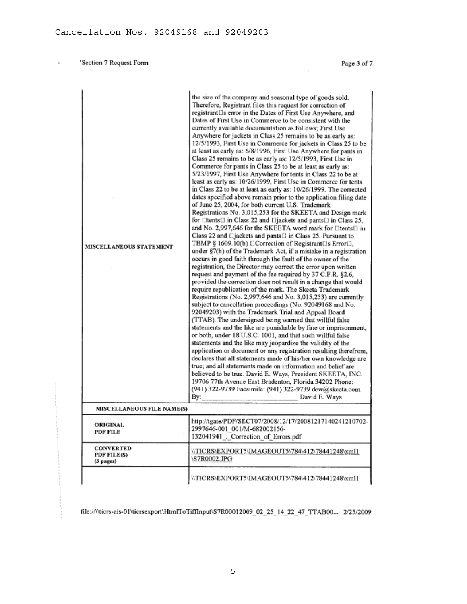$\overline{\phantom{a}}$ 

Page 3 of 7

| <b>MISCELLANEOUS STATEMENT</b>               | the size of the company and seasonal type of goods sold.<br>Therefore, Registrant files this request for correction of<br>registrant as error in the Dates of First Use Anywhere, and<br>Dates of First Use in Commerce to be consistent with the<br>currently available documentation as follows: First Use<br>Anywhere for jackets in Class 25 remains to be as early as:<br>12/5/1993, First Use in Commerce for jackets in Class 25 to be<br>at least as early as: 6/8/1996, First Use Anywhere for pants in<br>Class 25 remains to be as early as: 12/5/1993, First Use in<br>Commerce for pants in Class 25 to be at least as early as:<br>5/23/1997, First Use Anywhere for tents in Class 22 to be at<br>least as early as: 10/26/1999, First Use in Commerce for tents<br>in Class 22 to be at least as early as: 10/26/1999. The corrected<br>dates specified above remain prior to the application filing date<br>of June 25, 2004, for both current U.S. Trademark<br>Registrations No. 3,015,253 for the SKEETA and Design mark<br>for □tents□ in Class 22 and □jackets and pants□ in Class 25,<br>and No. 2,997,646 for the SKEETA word mark for ⊡tents□ in<br>Class 22 and Ejackets and pants El in Class 25. Pursuant to<br>TBMP § 1609.10(b) [Correction of Registrant[1s Error[1],<br>under §7(h) of the Trademark Act, if a mistake in a registration<br>occurs in good faith through the fault of the owner of the<br>registration, the Director may correct the error upon written<br>request and payment of the fee required by 37 C.F.R. §2.6,<br>provided the correction does not result in a change that would<br>require republication of the mark. The Skeeta Trademark<br>Registrations (No. 2,997,646 and No. 3,015,253) are currently<br>subject to cancellation proceedings (No. 92049168 and No.<br>92049203) with the Trademark Trial and Appeal Board<br>(TTAB). The undersigned being warned that willful false<br>statements and the like are punishable by fine or imprisonment,<br>or both, under 18 U.S.C. 1001, and that such willful false<br>statements and the like may jeopardize the validity of the<br>application or document or any registration resulting therefrom,<br>declares that all statements made of his/her own knowledge are<br>true; and all statements made on information and belief are<br>believed to be true. David E. Ways, President SKEETA, INC.<br>19706 77th Avenue East Bradenton, Florida 34202 Phone:<br>(941) 322-9739 Facsimile: (941) 322-9739 dew@skeeta.com<br>Bv:<br>David E. Ways |
|----------------------------------------------|-------------------------------------------------------------------------------------------------------------------------------------------------------------------------------------------------------------------------------------------------------------------------------------------------------------------------------------------------------------------------------------------------------------------------------------------------------------------------------------------------------------------------------------------------------------------------------------------------------------------------------------------------------------------------------------------------------------------------------------------------------------------------------------------------------------------------------------------------------------------------------------------------------------------------------------------------------------------------------------------------------------------------------------------------------------------------------------------------------------------------------------------------------------------------------------------------------------------------------------------------------------------------------------------------------------------------------------------------------------------------------------------------------------------------------------------------------------------------------------------------------------------------------------------------------------------------------------------------------------------------------------------------------------------------------------------------------------------------------------------------------------------------------------------------------------------------------------------------------------------------------------------------------------------------------------------------------------------------------------------------------------------------------------------------------------------------------------------------------------------------------------------------------------------------------------------------------------------------------------------------------------------------------------------------------------------------------------------------------------------------------------------------------------------------------------------------------------------------------------------------------------------------------------------------------------------|
| <b>MISCELLANEOUS FILE NAME(S)</b>            |                                                                                                                                                                                                                                                                                                                                                                                                                                                                                                                                                                                                                                                                                                                                                                                                                                                                                                                                                                                                                                                                                                                                                                                                                                                                                                                                                                                                                                                                                                                                                                                                                                                                                                                                                                                                                                                                                                                                                                                                                                                                                                                                                                                                                                                                                                                                                                                                                                                                                                                                                                   |
| <b>ORIGINAL</b><br><b>PDF FILE</b>           | http://tgate/PDF/SECT07/2008/12/17/20081217140241210702-<br>2997646-001_001/M-682002156-<br>132041941 . Correction of Errors.pdf                                                                                                                                                                                                                                                                                                                                                                                                                                                                                                                                                                                                                                                                                                                                                                                                                                                                                                                                                                                                                                                                                                                                                                                                                                                                                                                                                                                                                                                                                                                                                                                                                                                                                                                                                                                                                                                                                                                                                                                                                                                                                                                                                                                                                                                                                                                                                                                                                                  |
| <b>CONVERTED</b><br>PDF FILE(S)<br>(3 pages) | \\TICRS\EXPORT5\IMAGEOUT5\784\412\78441248\xml1<br>\S7R0002.JPG                                                                                                                                                                                                                                                                                                                                                                                                                                                                                                                                                                                                                                                                                                                                                                                                                                                                                                                                                                                                                                                                                                                                                                                                                                                                                                                                                                                                                                                                                                                                                                                                                                                                                                                                                                                                                                                                                                                                                                                                                                                                                                                                                                                                                                                                                                                                                                                                                                                                                                   |
|                                              | \\TICRS\EXPORT5\IMAGEOUT5\784\412\78441248\xml1                                                                                                                                                                                                                                                                                                                                                                                                                                                                                                                                                                                                                                                                                                                                                                                                                                                                                                                                                                                                                                                                                                                                                                                                                                                                                                                                                                                                                                                                                                                                                                                                                                                                                                                                                                                                                                                                                                                                                                                                                                                                                                                                                                                                                                                                                                                                                                                                                                                                                                                   |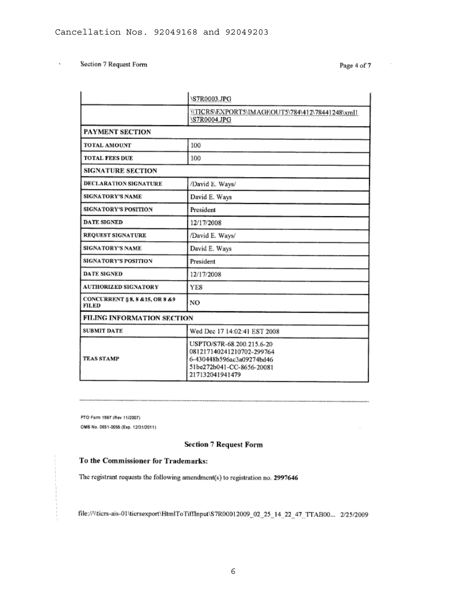$\cdot$ 

Page 4 of 7

|                                                  | \S7R0003.JPG                                                                                                                        |  |  |  |  |
|--------------------------------------------------|-------------------------------------------------------------------------------------------------------------------------------------|--|--|--|--|
|                                                  | \\TICRS\EXPORT5\IMAGEOUT5\784\412\78441248\xmll<br>\S7R0004.JPG                                                                     |  |  |  |  |
| PAYMENT SECTION                                  |                                                                                                                                     |  |  |  |  |
| TOTAL AMOUNT                                     | 100                                                                                                                                 |  |  |  |  |
| <b>TOTAL FEES DUE</b>                            | 100                                                                                                                                 |  |  |  |  |
| <b>SIGNATURE SECTION</b>                         |                                                                                                                                     |  |  |  |  |
| <b>DECLARATION SIGNATURE</b>                     | /David E. Ways/                                                                                                                     |  |  |  |  |
| <b>SIGNATORY'S NAME</b>                          | David E. Ways                                                                                                                       |  |  |  |  |
| <b>SIGNATORY'S POSITION</b>                      | President                                                                                                                           |  |  |  |  |
| <b>DATE SIGNED</b>                               | 12/17/2008                                                                                                                          |  |  |  |  |
| <b>REQUEST SIGNATURE</b>                         | /David E. Ways/                                                                                                                     |  |  |  |  |
| <b>SIGNATORY'S NAME</b>                          | David E. Ways                                                                                                                       |  |  |  |  |
| <b>SIGNATORY'S POSITION</b>                      | President                                                                                                                           |  |  |  |  |
| <b>DATE SIGNED</b>                               | 12/17/2008                                                                                                                          |  |  |  |  |
| <b>AUTHORIZED SIGNATORY</b>                      | <b>YES</b>                                                                                                                          |  |  |  |  |
| CONCURRENT § 8, 8 & 15, OR 8 & 9<br><b>FILED</b> | NO                                                                                                                                  |  |  |  |  |
| <b>FILING INFORMATION SECTION</b>                |                                                                                                                                     |  |  |  |  |
| <b>SUBMIT DATE</b>                               | Wed Dec 17 14:02:41 EST 2008                                                                                                        |  |  |  |  |
| <b>TEAS STAMP</b>                                | USPTO/S7R-68.200.215.6-20<br>081217140241210702-299764<br>6-430448b596ac3a09274bd46<br>51be272b041-CC-8656-20081<br>217132041941479 |  |  |  |  |

PTO Form 1597 (Rev 11/2007) OMB No. 0651-0055 (Exp. 12/31/2011)

## **Section 7 Request Form**

## To the Commissioner for Trademarks:

The registrant requests the following amendment(s) to registration no. 2997646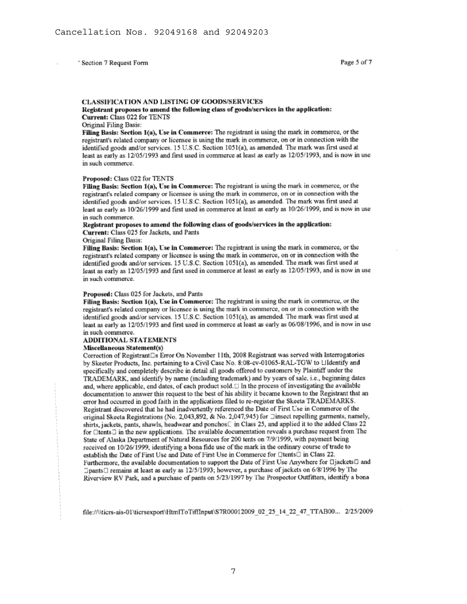### **CLASSIFICATION AND LISTING OF GOODS/SERVICES**

### Registrant proposes to amend the following class of goods/services in the application: Current: Class 022 for TENTS

#### Original Filing Basis:

Filing Basis: Section 1(a), Use in Commerce: The registrant is using the mark in commerce, or the registrant's related company or licensee is using the mark in commerce, on or in connection with the identified goods and/or services. 15 U.S.C. Section 1051(a), as amended. The mark was first used at least as early as 12/05/1993 and first used in commerce at least as early as 12/05/1993, and is now in use in such commerce.

#### Proposed: Class 022 for TENTS

Filing Basis: Section 1(a), Use in Commerce: The registrant is using the mark in commerce, or the registrant's related company or licensee is using the mark in commerce, on or in connection with the identified goods and/or services, 15 U.S.C. Section 1051(a), as amended. The mark was first used at least as early as 10/26/1999 and first used in commerce at least as early as 10/26/1999, and is now in use in such commerce.

#### Registrant proposes to amend the following class of goods/services in the application: Current: Class 025 for Jackets, and Pants

#### Original Filing Basis:

Filing Basis: Section 1(a), Use in Commerce: The registrant is using the mark in commerce, or the registrant's related company or licensee is using the mark in commerce, on or in connection with the identified goods and/or services. 15 U.S.C. Section 1051(a), as amended. The mark was first used at least as early as 12/05/1993 and first used in commerce at least as early as 12/05/1993, and is now in use in such commerce.

#### Proposed: Class 025 for Jackets, and Pants

Filing Basis: Section 1(a), Use in Commerce: The registrant is using the mark in commerce, or the registrant's related company or licensee is using the mark in commerce, on or in connection with the identified goods and/or services, 15 U.S.C. Section 1051(a), as amended. The mark was first used at least as early as 12/05/1993 and first used in commerce at least as early as 06/08/1996, and is now in use in such commerce.

### ADDITIONAL STATEMENTS

## **Miscellaneous Statement(s)**

Correction of Registrant Ls Error On November 11th, 2008 Registrant was served with Interrogatories by Skeeter Products, Inc. pertaining to a Civil Case No. 8:08-cv-01065-RAL-TGW to LIdentify and specifically and completely describe in detail all goods offered to customers by Plaintiff under the TRADEMARK, and identify by name (including trademark) and by years of sale, i.e., beginning dates and, where applicable, end dates, of each product sold.  $\Box$  In the process of investigating the available documentation to answer this request to the best of his ability it became known to the Registrant that an error had occurred in good faith in the applications filed to re-register the Skeeta TRADEMARKS. Registrant discovered that he had inadvertently referenced the Date of First Use in Commerce of the original Skeeta Registrations (No. 2,043,892, & No. 2,047,945) for *Jinsect repelling garments*, namely, shirts, jackets, pants, shawls, headwear and ponchos<sup>[1]</sup> in Class 25, and applied it to the added Class 22 for □tents□ in the new applications. The available documentation reveals a purchase request from The State of Alaska Department of Natural Resources for 200 tents on 7/9/1999, with payment being received on 10/26/1999, identifying a bona fide use of the mark in the ordinary course of trade to establish the Date of First Use and Date of First Use in Commerce for □tents□ in Class 22. Furthermore, the available documentation to support the Date of First Use Anywhere for □jackets□ and □pants□ remains at least as early as 12/5/1993; however, a purchase of jackets on 6/8/1996 by The Riverview RV Park, and a purchase of pants on 5/23/1997 by The Prospector Outfitters, identify a bona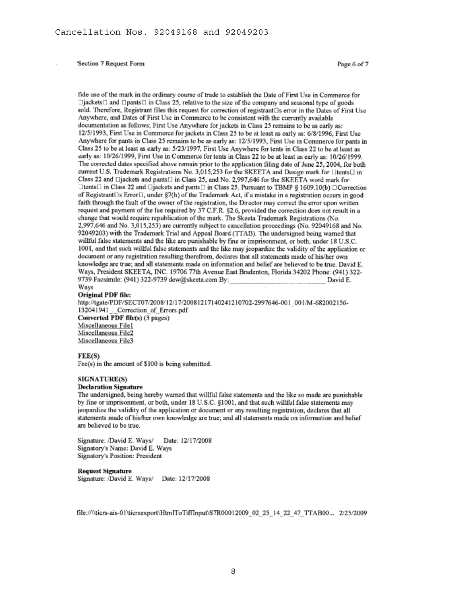fide use of the mark in the ordinary course of trade to establish the Date of First Use in Commerce for  $\Box$ jackets $\Box$  and  $\Box$ pants $\Box$  in Class 25, relative to the size of the company and seasonal type of goods sold. Therefore, Registrant files this request for correction of registrant□s error in the Dates of First Use Anywhere, and Dates of First Use in Commerce to be consistent with the currently available documentation as follows; First Use Anywhere for jackets in Class 25 remains to be as early as: 12/5/1993, First Use in Commerce for jackets in Class 25 to be at least as early as: 6/8/1996, First Use Anywhere for pants in Class 25 remains to be as early as: 12/5/1993, First Use in Commerce for pants in Class 25 to be at least as early as: 5/23/1997. First Use Anywhere for tents in Class 22 to be at least as early as: 10/26/1999, First Use in Commerce for tents in Class 22 to be at least as early as: 10/26/1999. The corrected dates specified above remain prior to the application filing date of June 25, 2004, for both current U.S. Trademark Registrations No. 3,015,253 for the SKEETA and Design mark for DtentsD in Class 22 and Diackets and pants<sup>[1]</sup> in Class 25, and No. 2,997,646 for the SKEETA word mark for  $\Box$ tents $\Box$  in Class 22 and  $\Box$ jackets and pants $\Box$  in Class 25. Pursuant to TBMP § 1609.10(b)  $\Box$ Correction of Registrant  $\Box$ s Error $\Box$ , under §7(h) of the Trademark Act, if a mistake in a registration occurs in good faith through the fault of the owner of the registration, the Director may correct the error upon written request and payment of the fee required by 37 C.F.R. §2.6, provided the correction does not result in a change that would require republication of the mark. The Skeeta Trademark Registrations (No. 2,997,646 and No. 3,015,253) are currently subject to cancellation proceedings (No. 92049168 and No. 92049203) with the Trademark Trial and Appeal Board (TTAB). The undersigned being warned that willful false statements and the like are punishable by fine or imprisonment, or both, under 18 U.S.C. 1001, and that such willful false statements and the like may jeopardize the validity of the application or document or any registration resulting therefrom, declares that all statements made of his/her own knowledge are true; and all statements made on information and belief are believed to be true. David E. Ways, President SKEETA, INC. 19706 77th Avenue East Bradenton, Florida 34202 Phone: (941) 322-9739 Facsimile: (941) 322-9739 dew@skeeta.com By: David E.

#### Ways Original PDF file:

http://tgate/PDF/SECT07/2008/12/17/20081217140241210702-2997646-001\_001/M-682002156-132041941 . Correction of Errors.pdf Converted PDF file(s) (3 pages)

Miscellaneous File1 Miscellaneous File2 Miscellaneous File3

#### FEE(S)

Fee(s) in the amount of \$100 is being submitted.

### **SIGNATURE(S)**

### **Declaration Signature**

The undersigned, being hereby warned that willful false statements and the like so made are punishable by fine or imprisonment, or both, under 18 U.S.C. §1001, and that such willful false statements may jeopardize the validity of the application or document or any resulting registration, declares that all statements made of his/her own knowledge are true; and all statements made on information and belief are believed to be true.

Signature: /David E. Ways/ Date: 12/17/2008 Signatory's Name: David E. Ways Signatory's Position: President

#### **Request Signature**

Signature: /David E. Ways/ Date: 12/17/2008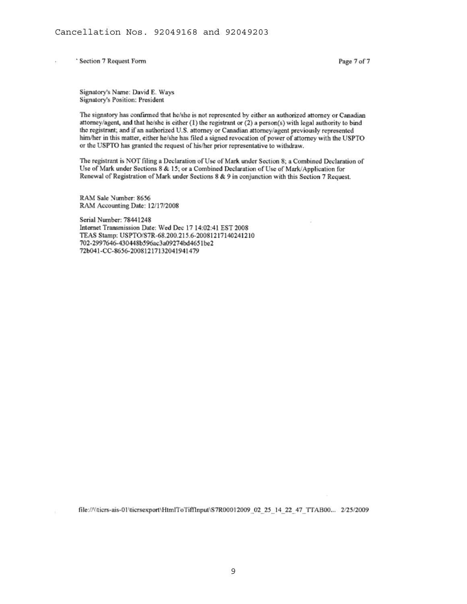ï

Page 7 of 7

Signatory's Name: David E. Ways Signatory's Position: President

The signatory has confirmed that he/she is not represented by either an authorized attorney or Canadian attorney/agent, and that he/she is either (1) the registrant or (2) a person(s) with legal authority to bind the registrant; and if an authorized U.S. attorney or Canadian attorney/agent previously represented him/her in this matter, either he/she has filed a signed revocation of power of attorney with the USPTO or the USPTO has granted the request of his/her prior representative to withdraw.

The registrant is NOT filing a Declaration of Use of Mark under Section 8; a Combined Declaration of Use of Mark under Sections 8 & 15; or a Combined Declaration of Use of Mark/Application for Renewal of Registration of Mark under Sections 8 & 9 in conjunction with this Section 7 Request.

RAM Sale Number: 8656 RAM Accounting Date: 12/17/2008

Serial Number: 78441248 Internet Transmission Date: Wed Dec 17 14:02:41 EST 2008 TEAS Stamp: USPTO/S7R-68.200.215.6-20081217140241210 702-2997646-430448b596ac3a09274bd4651be2 72b041-CC-8656-20081217132041941479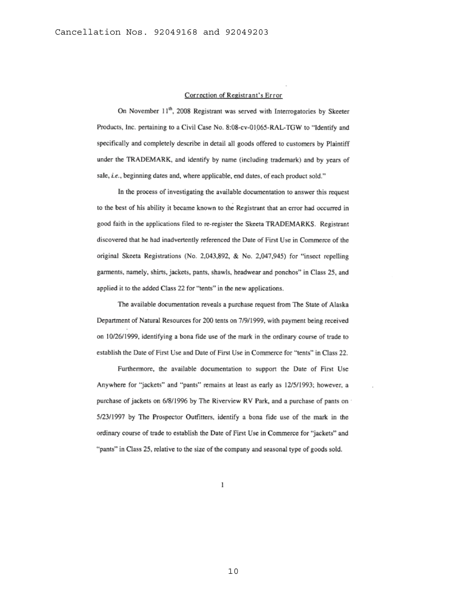### Correction of Registrant's Error

On November 11<sup>th</sup>, 2008 Registrant was served with Interrogatories by Skeeter Products, Inc. pertaining to a Civil Case No. 8:08-cv-01065-RAL-TGW to "Identify and specifically and completely describe in detail all goods offered to customers by Plaintiff under the TRADEMARK, and identify by name (including trademark) and by years of sale, i.e., beginning dates and, where applicable, end dates, of each product sold."

In the process of investigating the available documentation to answer this request to the best of his ability it became known to the Registrant that an error had occurred in good faith in the applications filed to re-register the Skeeta TRADEMARKS. Registrant discovered that he had inadvertently referenced the Date of First Use in Commerce of the original Skeeta Registrations (No. 2,043,892, & No. 2,047,945) for "insect repelling garments, namely, shirts, jackets, pants, shawls, headwear and ponchos" in Class 25, and applied it to the added Class 22 for "tents" in the new applications.

The available documentation reveals a purchase request from The State of Alaska Department of Natural Resources for 200 tents on 7/9/1999, with payment being received on 10/26/1999, identifying a bona fide use of the mark in the ordinary course of trade to establish the Date of First Use and Date of First Use in Commerce for "tents" in Class 22.

Furthermore, the available documentation to support the Date of First Use Anywhere for "jackets" and "pants" remains at least as early as 12/5/1993; however, a purchase of jackets on 6/8/1996 by The Riverview RV Park, and a purchase of pants on 5/23/1997 by The Prospector Outfitters, identify a bona fide use of the mark in the ordinary course of trade to establish the Date of First Use in Commerce for "jackets" and "pants" in Class 25, relative to the size of the company and seasonal type of goods sold.

1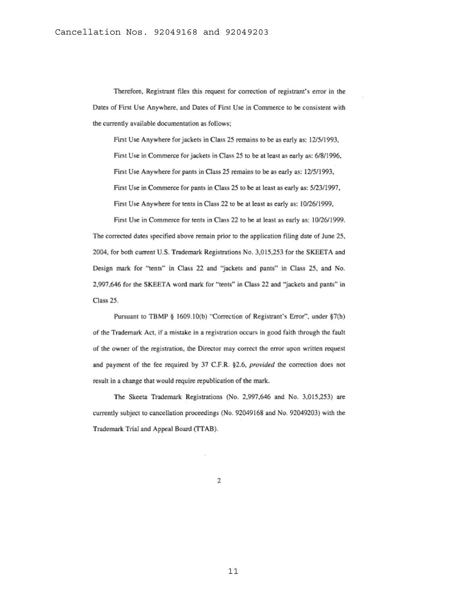Therefore, Registrant files this request for correction of registrant's error in the Dates of First Use Anywhere, and Dates of First Use in Commerce to be consistent with the currently available documentation as follows;

First Use Anywhere for jackets in Class 25 remains to be as early as: 12/5/1993, First Use in Commerce for jackets in Class 25 to be at least as early as: 6/8/1996, First Use Anywhere for pants in Class 25 remains to be as early as: 12/5/1993, First Use in Commerce for pants in Class 25 to be at least as early as: 5/23/1997, First Use Anywhere for tents in Class 22 to be at least as early as: 10/26/1999,

First Use in Commerce for tents in Class 22 to be at least as early as: 10/26/1999. The corrected dates specified above remain prior to the application filing date of June 25, 2004, for both current U.S. Trademark Registrations No. 3,015,253 for the SKEETA and Design mark for "tents" in Class 22 and "jackets and pants" in Class 25, and No. 2,997,646 for the SKEETA word mark for "tents" in Class 22 and "jackets and pants" in Class 25.

Pursuant to TBMP § 1609.10(b) "Correction of Registrant's Error", under §7(h) of the Trademark Act, if a mistake in a registration occurs in good faith through the fault of the owner of the registration, the Director may correct the error upon written request and payment of the fee required by 37 C.F.R. §2.6, provided the correction does not result in a change that would require republication of the mark.

The Skeeta Trademark Registrations (No. 2,997,646 and No. 3,015,253) are currently subject to cancellation proceedings (No. 92049168 and No. 92049203) with the Trademark Trial and Appeal Board (TTAB).

 $\overline{2}$ 

11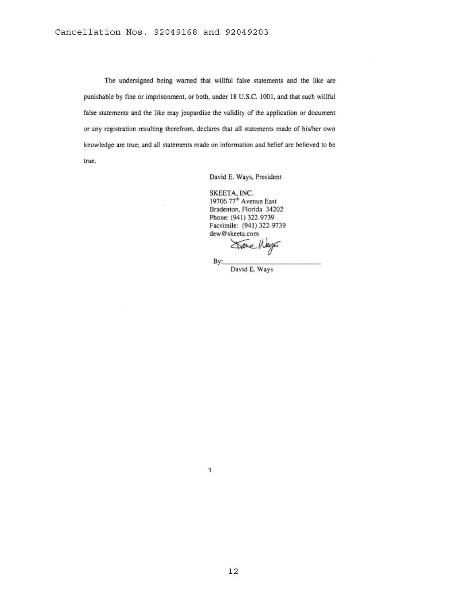The undersigned being warned that willful false statements and the like are punishable by fine or imprisonment, or both, under 18 U.S.C. 1001, and that such willful false statements and the like may jeopardize the validity of the application or document or any registration resulting therefrom, declares that all statements made of his/her own knowledge are true; and all statements made on information and belief are believed to be true.

# David E. Ways, President

SKEETA, INC.<br>19706 77<sup>th</sup> Avenue East<br>Bradenton, Florida 34202 Phone: (941) 322-9739 Facsimile: (941) 322-9739 dew@skeeta.com

mo.

By:

David E. Ways

 $\overline{\mathbf{3}}$